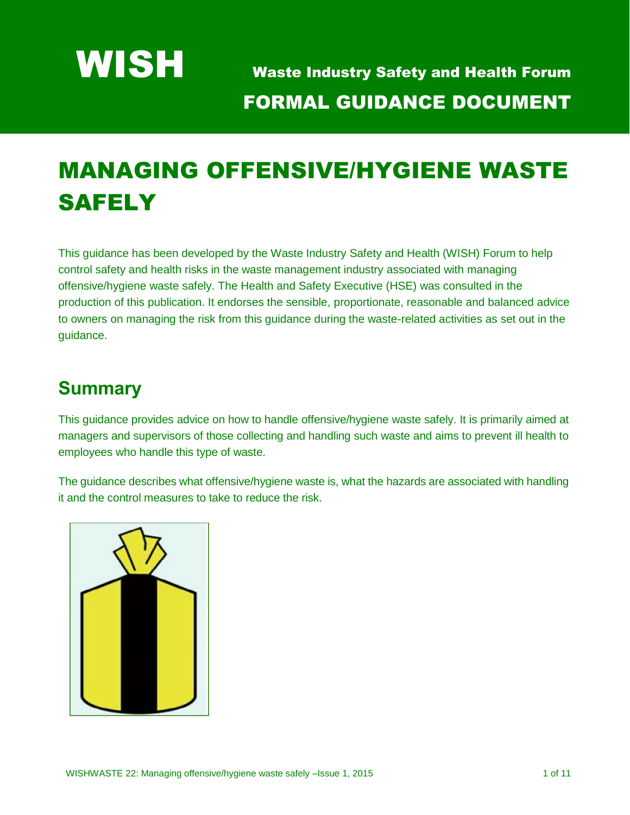

# MANAGING OFFENSIVE/HYGIENE WASTE **SAFELY**

This guidance has been developed by the Waste Industry Safety and Health (WISH) Forum to help control safety and health risks in the waste management industry associated with managing offensive/hygiene waste safely. The Health and Safety Executive (HSE) was consulted in the production of this publication. It endorses the sensible, proportionate, reasonable and balanced advice to owners on managing the risk from this guidance during the waste-related activities as set out in the guidance.

# **Summary**

This guidance provides advice on how to handle offensive/hygiene waste safely. It is primarily aimed at managers and supervisors of those collecting and handling such waste and aims to prevent ill health to employees who handle this type of waste.

The guidance describes what offensive/hygiene waste is, what the hazards are associated with handling it and the control measures to take to reduce the risk.

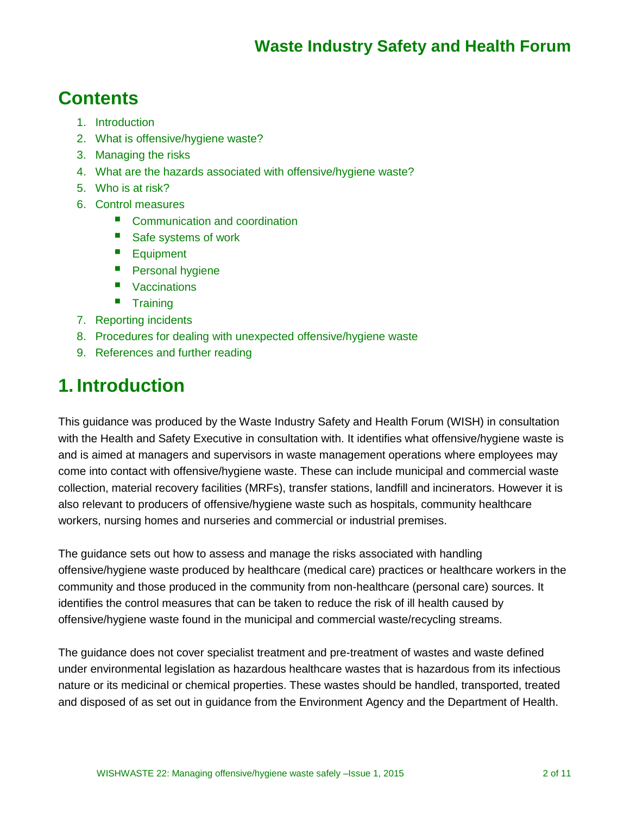# **Contents**

- 1. Introduction
- 2. What is offensive/hygiene waste?
- 3. Managing the risks
- 4. What are the hazards associated with offensive/hygiene waste?
- 5. Who is at risk?
- 6. Control measures
	- Communication and coordination
	- Safe systems of work
	- **Equipment**
	- **Personal hygiene**
	- Vaccinations
	- **Training**
- 7. Reporting incidents
- 8. Procedures for dealing with unexpected offensive/hygiene waste
- 9. References and further reading

### **1. Introduction**

This guidance was produced by the Waste Industry Safety and Health Forum (WISH) in consultation with the Health and Safety Executive in consultation with. It identifies what offensive/hygiene waste is and is aimed at managers and supervisors in waste management operations where employees may come into contact with offensive/hygiene waste. These can include municipal and commercial waste collection, material recovery facilities (MRFs), transfer stations, landfill and incinerators. However it is also relevant to producers of offensive/hygiene waste such as hospitals, community healthcare workers, nursing homes and nurseries and commercial or industrial premises.

The guidance sets out how to assess and manage the risks associated with handling offensive/hygiene waste produced by healthcare (medical care) practices or healthcare workers in the community and those produced in the community from non-healthcare (personal care) sources. It identifies the control measures that can be taken to reduce the risk of ill health caused by offensive/hygiene waste found in the municipal and commercial waste/recycling streams.

The guidance does not cover specialist treatment and pre-treatment of wastes and waste defined under environmental legislation as hazardous healthcare wastes that is hazardous from its infectious nature or its medicinal or chemical properties. These wastes should be handled, transported, treated and disposed of as set out in guidance from the Environment Agency and the Department of Health.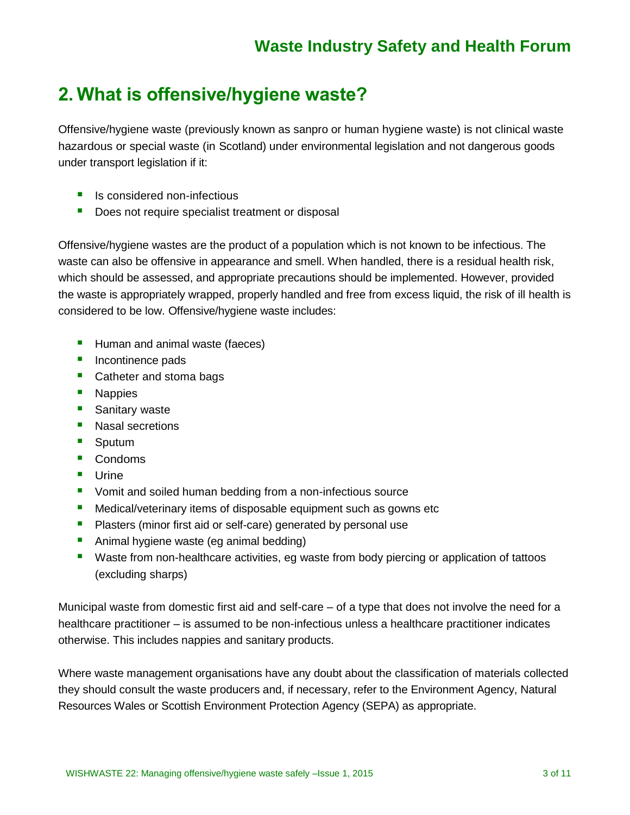### **2. What is offensive/hygiene waste?**

Offensive/hygiene waste (previously known as sanpro or human hygiene waste) is not clinical waste hazardous or special waste (in Scotland) under environmental legislation and not dangerous goods under transport legislation if it:

- **I** Is considered non-infectious
- Does not require specialist treatment or disposal

Offensive/hygiene wastes are the product of a population which is not known to be infectious. The waste can also be offensive in appearance and smell. When handled, there is a residual health risk, which should be assessed, and appropriate precautions should be implemented. However, provided the waste is appropriately wrapped, properly handled and free from excess liquid, the risk of ill health is considered to be low. Offensive/hygiene waste includes:

- **Human and animal waste (faeces)**
- **Incontinence pads**
- **Catheter and stoma bags**
- **Nappies**
- **Sanitary waste**
- **Nasal secretions**
- **Sputum**
- Condoms
- **Urine**
- **Vomit and soiled human bedding from a non-infectious source**
- **Medical/veterinary items of disposable equipment such as gowns etc**
- **Plasters (minor first aid or self-care) generated by personal use**
- **Animal hygiene waste (eg animal bedding)**
- **URED 10.5 The Step is absolute in the URED 10.5 The Step 20.5 The Step 20.5 The Step 20.6 The Step 20.6 The Step 20.6 The Step 20.6 The Step 20.6 The Step 20.6 The Step 20.6 The Step 20.6 The Step 20.6 The Step 20.6 The S** (excluding sharps)

Municipal waste from domestic first aid and self-care – of a type that does not involve the need for a healthcare practitioner – is assumed to be non-infectious unless a healthcare practitioner indicates otherwise. This includes nappies and sanitary products.

Where waste management organisations have any doubt about the classification of materials collected they should consult the waste producers and, if necessary, refer to the Environment Agency, Natural Resources Wales or Scottish Environment Protection Agency (SEPA) as appropriate.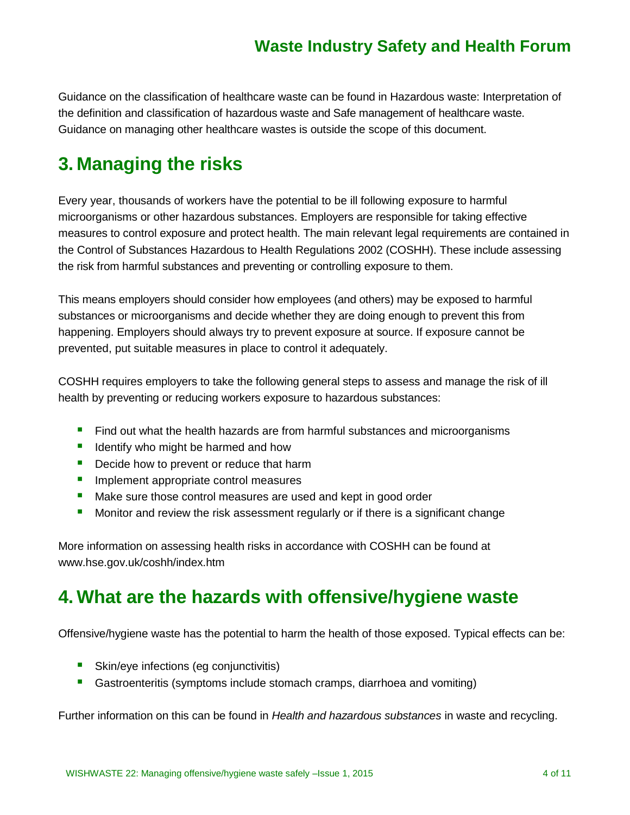Guidance on the classification of healthcare waste can be found in Hazardous waste: Interpretation of the definition and classification of hazardous waste and Safe management of healthcare waste. Guidance on managing other healthcare wastes is outside the scope of this document.

# **3. Managing the risks**

Every year, thousands of workers have the potential to be ill following exposure to harmful microorganisms or other hazardous substances. Employers are responsible for taking effective measures to control exposure and protect health. The main relevant legal requirements are contained in the Control of Substances Hazardous to Health Regulations 2002 (COSHH). These include assessing the risk from harmful substances and preventing or controlling exposure to them.

This means employers should consider how employees (and others) may be exposed to harmful substances or microorganisms and decide whether they are doing enough to prevent this from happening. Employers should always try to prevent exposure at source. If exposure cannot be prevented, put suitable measures in place to control it adequately.

COSHH requires employers to take the following general steps to assess and manage the risk of ill health by preventing or reducing workers exposure to hazardous substances:

- Find out what the health hazards are from harmful substances and microorganisms
- I Identify who might be harmed and how
- Decide how to prevent or reduce that harm
- **Implement appropriate control measures**
- Make sure those control measures are used and kept in good order
- **Monitor and review the risk assessment regularly or if there is a significant change**

More information on assessing health risks in accordance with COSHH can be found at [www.hse.gov.uk/coshh/index.htm](http://www.hse.gov.uk/coshh/index.htm)

# **4. What are the hazards with offensive/hygiene waste**

Offensive/hygiene waste has the potential to harm the health of those exposed. Typical effects can be:

- **Skin/eye infections (eg conjunctivitis)**
- Gastroenteritis (symptoms include stomach cramps, diarrhoea and vomiting)

Further information on this can be found in *Health and hazardous substances* in waste and recycling.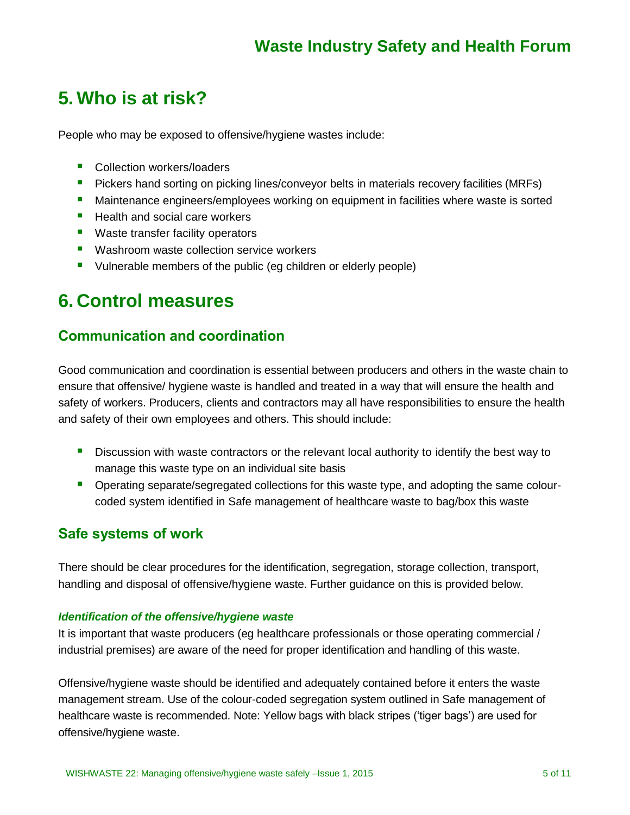### **5. Who is at risk?**

People who may be exposed to offensive/hygiene wastes include:

- **Collection workers/loaders**
- **Pickers hand sorting on picking lines/conveyor belts in materials recovery facilities (MRFs)**
- **Maintenance engineers/employees working on equipment in facilities where waste is sorted**
- $\blacksquare$  Health and social care workers
- **Waste transfer facility operators**
- **Washroom waste collection service workers**
- Uulnerable members of the public (eg children or elderly people)

### **6. Control measures**

### **Communication and coordination**

Good communication and coordination is essential between producers and others in the waste chain to ensure that offensive/ hygiene waste is handled and treated in a way that will ensure the health and safety of workers. Producers, clients and contractors may all have responsibilities to ensure the health and safety of their own employees and others. This should include:

- **Discussion with waste contractors or the relevant local authority to identify the best way to** manage this waste type on an individual site basis
- **•** Operating separate/segregated collections for this waste type, and adopting the same colourcoded system identified in Safe management of healthcare waste to bag/box this waste

### **Safe systems of work**

There should be clear procedures for the identification, segregation, storage collection, transport, handling and disposal of offensive/hygiene waste. Further guidance on this is provided below.

#### *Identification of the offensive/hygiene waste*

It is important that waste producers (eg healthcare professionals or those operating commercial / industrial premises) are aware of the need for proper identification and handling of this waste.

Offensive/hygiene waste should be identified and adequately contained before it enters the waste management stream. Use of the colour-coded segregation system outlined in Safe management of healthcare waste is recommended. Note: Yellow bags with black stripes ('tiger bags') are used for offensive/hygiene waste.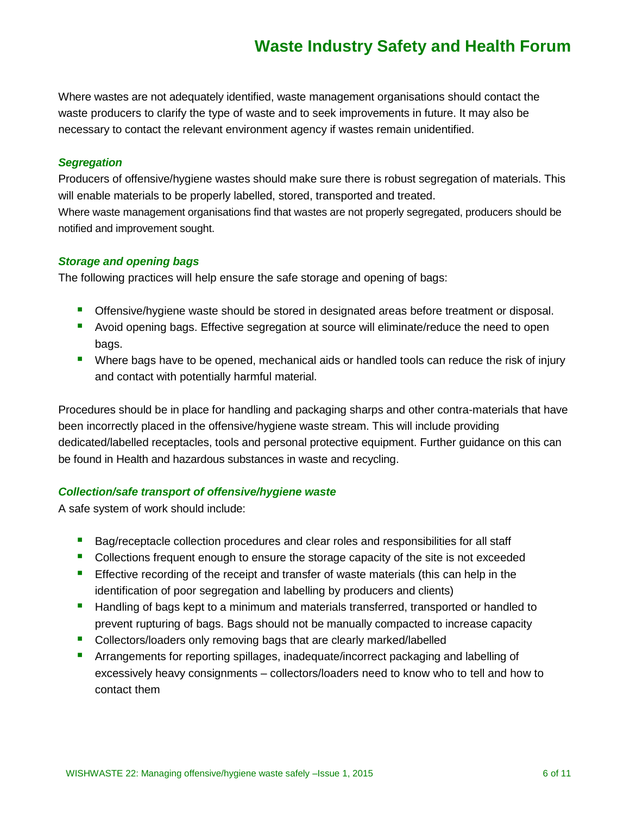Where wastes are not adequately identified, waste management organisations should contact the waste producers to clarify the type of waste and to seek improvements in future. It may also be necessary to contact the relevant environment agency if wastes remain unidentified.

#### *Segregation*

Producers of offensive/hygiene wastes should make sure there is robust segregation of materials. This will enable materials to be properly labelled, stored, transported and treated. Where waste management organisations find that wastes are not properly segregated, producers should be notified and improvement sought.

#### *Storage and opening bags*

The following practices will help ensure the safe storage and opening of bags:

- **Offensive/hygiene waste should be stored in designated areas before treatment or disposal.**
- Avoid opening bags. Effective segregation at source will eliminate/reduce the need to open bags.
- **Where bags have to be opened, mechanical aids or handled tools can reduce the risk of injury** and contact with potentially harmful material.

Procedures should be in place for handling and packaging sharps and other contra-materials that have been incorrectly placed in the offensive/hygiene waste stream. This will include providing dedicated/labelled receptacles, tools and personal protective equipment. Further guidance on this can be found in Health and hazardous substances in waste and recycling.

#### *Collection/safe transport of offensive/hygiene waste*

A safe system of work should include:

- **Bag/receptacle collection procedures and clear roles and responsibilities for all staff**
- **Collections frequent enough to ensure the storage capacity of the site is not exceeded**
- **Effective recording of the receipt and transfer of waste materials (this can help in the** identification of poor segregation and labelling by producers and clients)
- **Handling of bags kept to a minimum and materials transferred, transported or handled to** prevent rupturing of bags. Bags should not be manually compacted to increase capacity
- **Collectors/loaders only removing bags that are clearly marked/labelled**
- **•** Arrangements for reporting spillages, inadequate/incorrect packaging and labelling of excessively heavy consignments – collectors/loaders need to know who to tell and how to contact them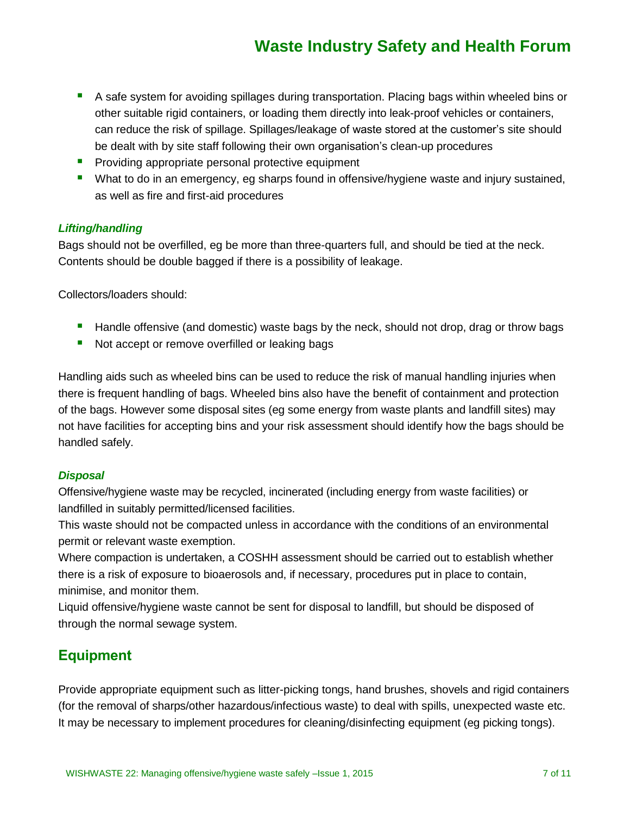- A safe system for avoiding spillages during transportation. Placing bags within wheeled bins or other suitable rigid containers, or loading them directly into leak-proof vehicles or containers, can reduce the risk of spillage. Spillages/leakage of waste stored at the customer's site should be dealt with by site staff following their own organisation's clean-up procedures
- **Providing appropriate personal protective equipment**
- **Nitumary 10 and 10 and 10 an** emergency, eg sharps found in offensive/hygiene waste and injury sustained, as well as fire and first-aid procedures

#### *Lifting/handling*

Bags should not be overfilled, eg be more than three-quarters full, and should be tied at the neck. Contents should be double bagged if there is a possibility of leakage.

Collectors/loaders should:

- **Handle offensive (and domestic) waste bags by the neck, should not drop, drag or throw bags**
- Not accept or remove overfilled or leaking bags

Handling aids such as wheeled bins can be used to reduce the risk of manual handling injuries when there is frequent handling of bags. Wheeled bins also have the benefit of containment and protection of the bags. However some disposal sites (eg some energy from waste plants and landfill sites) may not have facilities for accepting bins and your risk assessment should identify how the bags should be handled safely.

#### *Disposal*

Offensive/hygiene waste may be recycled, incinerated (including energy from waste facilities) or landfilled in suitably permitted/licensed facilities.

This waste should not be compacted unless in accordance with the conditions of an environmental permit or relevant waste exemption.

Where compaction is undertaken, a COSHH assessment should be carried out to establish whether there is a risk of exposure to bioaerosols and, if necessary, procedures put in place to contain, minimise, and monitor them.

Liquid offensive/hygiene waste cannot be sent for disposal to landfill, but should be disposed of through the normal sewage system.

### **Equipment**

Provide appropriate equipment such as litter-picking tongs, hand brushes, shovels and rigid containers (for the removal of sharps/other hazardous/infectious waste) to deal with spills, unexpected waste etc. It may be necessary to implement procedures for cleaning/disinfecting equipment (eg picking tongs).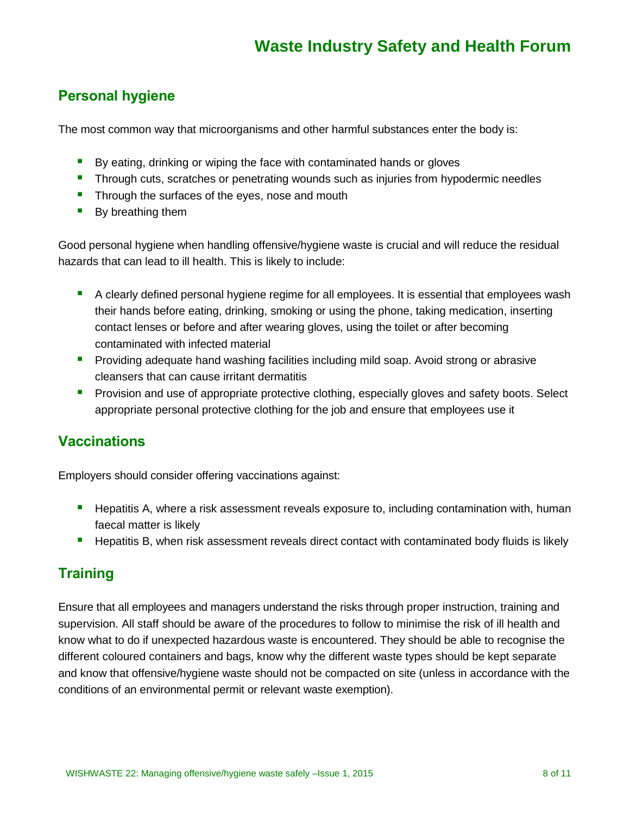### **Personal hygiene**

The most common way that microorganisms and other harmful substances enter the body is:

- By eating, drinking or wiping the face with contaminated hands or gloves
- **Through cuts, scratches or penetrating wounds such as injuries from hypodermic needles**
- **Through the surfaces of the eyes, nose and mouth**
- By breathing them

Good personal hygiene when handling offensive/hygiene waste is crucial and will reduce the residual hazards that can lead to ill health. This is likely to include:

- **A** clearly defined personal hygiene regime for all employees. It is essential that employees wash their hands before eating, drinking, smoking or using the phone, taking medication, inserting contact lenses or before and after wearing gloves, using the toilet or after becoming contaminated with infected material
- **Providing adequate hand washing facilities including mild soap. Avoid strong or abrasive** cleansers that can cause irritant dermatitis
- **Provision and use of appropriate protective clothing, especially gloves and safety boots. Select** appropriate personal protective clothing for the job and ensure that employees use it

### **Vaccinations**

Employers should consider offering vaccinations against:

- **Hepatitis A, where a risk assessment reveals exposure to, including contamination with, human** faecal matter is likely
- **Hepatitis B, when risk assessment reveals direct contact with contaminated body fluids is likely**

### **Training**

Ensure that all employees and managers understand the risks through proper instruction, training and supervision. All staff should be aware of the procedures to follow to minimise the risk of ill health and know what to do if unexpected hazardous waste is encountered. They should be able to recognise the different coloured containers and bags, know why the different waste types should be kept separate and know that offensive/hygiene waste should not be compacted on site (unless in accordance with the conditions of an environmental permit or relevant waste exemption).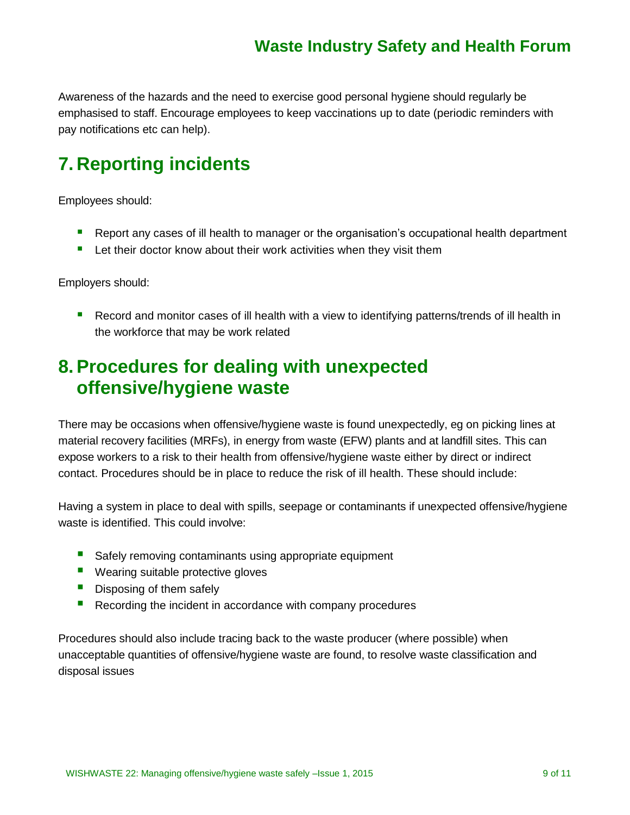Awareness of the hazards and the need to exercise good personal hygiene should regularly be emphasised to staff. Encourage employees to keep vaccinations up to date (periodic reminders with pay notifications etc can help).

# **7. Reporting incidents**

Employees should:

- **P** Report any cases of ill health to manager or the organisation's occupational health department
- **E** Let their doctor know about their work activities when they visit them

Employers should:

**Record and monitor cases of ill health with a view to identifying patterns/trends of ill health in** the workforce that may be work related

# **8.Procedures for dealing with unexpected offensive/hygiene waste**

There may be occasions when offensive/hygiene waste is found unexpectedly, eg on picking lines at material recovery facilities (MRFs), in energy from waste (EFW) plants and at landfill sites. This can expose workers to a risk to their health from offensive/hygiene waste either by direct or indirect contact. Procedures should be in place to reduce the risk of ill health. These should include:

Having a system in place to deal with spills, seepage or contaminants if unexpected offensive/hygiene waste is identified. This could involve:

- Safely removing contaminants using appropriate equipment
- **U** Wearing suitable protective gloves
- Disposing of them safely
- Recording the incident in accordance with company procedures

Procedures should also include tracing back to the waste producer (where possible) when unacceptable quantities of offensive/hygiene waste are found, to resolve waste classification and disposal issues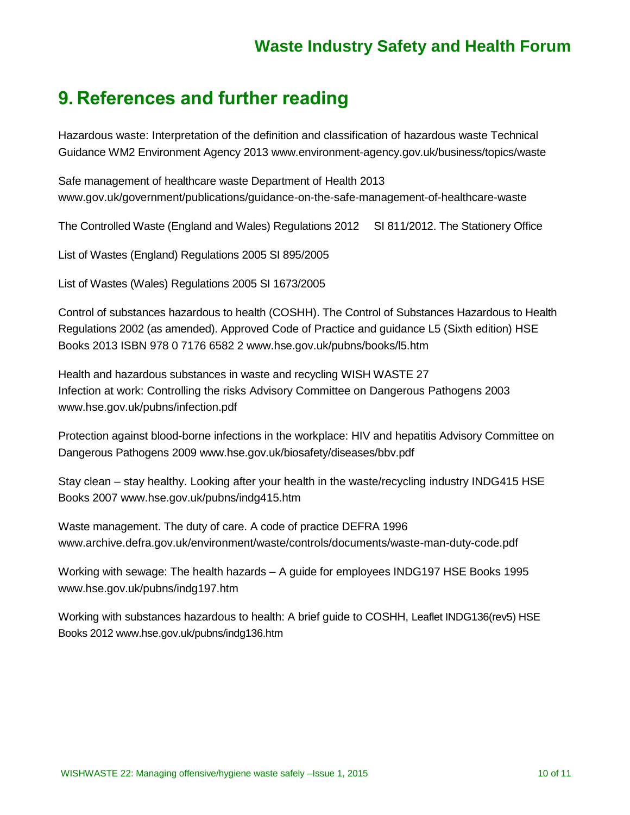### **9. References and further reading**

Hazardous waste: Interpretation of the definition and classification of hazardous waste Technical Guidance WM2 Environment Agency 2013 [www.environment-agency.gov.uk/business/topics/waste](http://www.environment-agency.gov.uk/business/topics/waste)

Safe management of healthcare waste Department of Health 2013 [www.gov.uk/government/publications/guidance-on-the-safe-management-of-healthcare-waste](http://www.gov.uk/government/publications/guidance-on-the-safe-management-of-healthcare-waste)

The Controlled Waste (England and Wales) Regulations 2012 SI 811/2012. The Stationery Office

List of Wastes (England) Regulations 2005 SI 895/2005

List of Wastes (Wales) Regulations 2005 SI 1673/2005

Control of substances hazardous to health (COSHH). The Control of Substances Hazardous to Health Regulations 2002 (as amended). Approved Code of Practice and guidance L5 (Sixth edition) HSE Books 2013 ISBN 978 0 7176 6582 2 [www.hse.gov.uk/pubns/books/l5.htm](http://www.hse.gov.uk/pubns/books/l5.htm)

Health and hazardous substances in waste and recycling WISH WASTE 27 Infection at work: Controlling the risks Advisory Committee on Dangerous Pathogens 2003 [www.hse.gov.uk/pubns/infection.pdf](http://www.hse.gov.uk/pubns/infection.pdf)

Protection against blood-borne infections in the workplace: HIV and hepatitis Advisory Committee on Dangerous Pathogens 2009 [www.hse.gov.uk/biosafety/diseases/bbv.pdf](http://www.hse.gov.uk/biosafety/diseases/bbv.pdf)

Stay clean – stay healthy. Looking after your health in the waste/recycling industry INDG415 HSE Books 2007 [www.hse.gov.uk/pubns/indg415.htm](http://www.hse.gov.uk/pubns/indg415.htm)

Waste management. The duty of care. A code of practice DEFRA 1996 [www.archive.defra.gov.uk/environment/waste/controls/documents/waste-man-duty-code.pdf](http://www.archive.defra.gov.uk/environment/waste/controls/documents/waste-man-duty-code.pdf)

Working with sewage: The health hazards – A guide for employees INDG197 HSE Books 1995 [www.hse.gov.uk/pubns/indg197.htm](http://www.hse.gov.uk/pubns/indg197.htm)

Working with substances hazardous to health: A brief guide to COSHH, Leaflet INDG136(rev5) HSE Books 2012 [www.hse.gov.uk/pubns/indg136.htm](http://www.hse.gov.uk/pubns/indg136.htm)